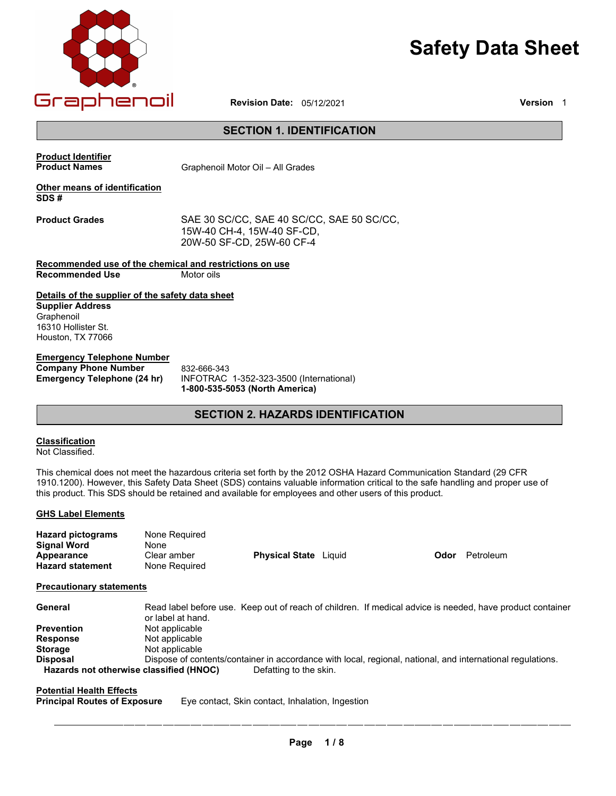

# **Safety Data Sheet**

**Revision Date: 05/12/2021** 

# **SECTION 1. IDENTIFICATION**

**Product Identifier**

**Product Names Motor Cli** Graphenoil Motor Oil – All Grades

# **Other means of identification SDS #**

**Product Grades** SAE 30 SC/CC, SAE 40 SC/CC, SAE 50 SC/CC, 15W-40 CH-4, 15W-40 SF-CD, 20W-50 SF-CD, 25W-60 CF-4

**Recommended use of the chemical and restrictions on use Recommended Use** 

# **Details of the supplier of the safety data sheet**

**Supplier Address** Graphenoil 16310 Hollister St. Houston, TX 77026 Houston, TX 77066

# **Emergency Telephone Number**

**Company Phone Number<br>
<b>Emergency Telephone (24 hr)** 

**Emergency Telephone (24 hr)** INFOTRAC 1-352-323-3500 (International)  **1-800-535-5053 (North America)** 832-666-343

# **SECTION 2. HAZARDS IDENTIFICATION**

# **Classification**

Not Classified.

This chemical does not meet the hazardous criteria set forth by the 2012 OSHA Hazard Communication Standard (29 CFR 1910.1200). However, this Safety Data Sheet (SDS) contains valuable information critical to the safe handling and proper use of this product. This SDS should be retained and available for employees and other users of this product.

# **GHS Label Elements**

| <b>Hazard pictograms</b> | None Required |                              |      |           |
|--------------------------|---------------|------------------------------|------|-----------|
| <b>Signal Word</b>       | None          |                              |      |           |
| Appearance               | Clear amber   | <b>Physical State</b> Liquid | Odor | Petroleum |
| <b>Hazard statement</b>  | None Required |                              |      |           |

# **Precautionary statements**

| General                                 | Read label before use. Keep out of reach of children. If medical advice is needed, have product container<br>or label at hand. |
|-----------------------------------------|--------------------------------------------------------------------------------------------------------------------------------|
| <b>Prevention</b>                       | Not applicable                                                                                                                 |
| <b>Response</b>                         | Not applicable                                                                                                                 |
| <b>Storage</b>                          | Not applicable                                                                                                                 |
| <b>Disposal</b>                         | Dispose of contents/container in accordance with local, regional, national, and international regulations.                     |
| Hazards not otherwise classified (HNOC) | Defatting to the skin.                                                                                                         |

**Potential Health Effects**

**Eye contact, Skin contact, Inhalation, Ingestion**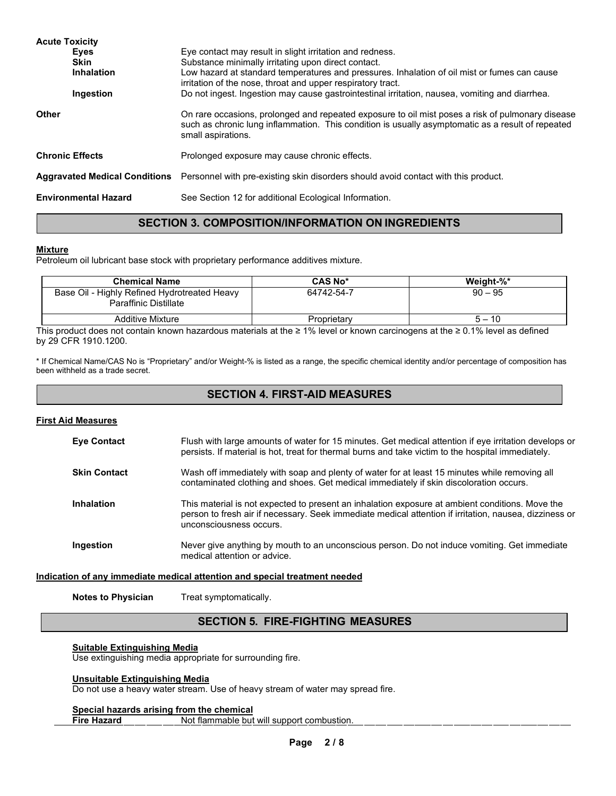| <b>Acute Toxicity</b><br><b>Eyes</b><br><b>Skin</b><br><b>Inhalation</b><br>Ingestion | Eye contact may result in slight irritation and redness.<br>Substance minimally irritating upon direct contact.<br>Low hazard at standard temperatures and pressures. Inhalation of oil mist or fumes can cause<br>irritation of the nose, throat and upper respiratory tract.<br>Do not ingest. Ingestion may cause gastrointestinal irritation, nausea, vomiting and diarrhea. |
|---------------------------------------------------------------------------------------|----------------------------------------------------------------------------------------------------------------------------------------------------------------------------------------------------------------------------------------------------------------------------------------------------------------------------------------------------------------------------------|
| <b>Other</b>                                                                          | On rare occasions, prolonged and repeated exposure to oil mist poses a risk of pulmonary disease<br>such as chronic lung inflammation. This condition is usually asymptomatic as a result of repeated<br>small aspirations.                                                                                                                                                      |
| <b>Chronic Effects</b>                                                                | Prolonged exposure may cause chronic effects.                                                                                                                                                                                                                                                                                                                                    |
| <b>Aggravated Medical Conditions</b>                                                  | Personnel with pre-existing skin disorders should avoid contact with this product.                                                                                                                                                                                                                                                                                               |
| <b>Environmental Hazard</b>                                                           | See Section 12 for additional Ecological Information.                                                                                                                                                                                                                                                                                                                            |

# **SECTION 3. COMPOSITION/INFORMATION ON INGREDIENTS**

# **Mixture**

Petroleum oil lubricant base stock with proprietary performance additives mixture.

| <b>Chemical Name</b>                                                  | <b>CAS No*</b> | Weiaht-%* |
|-----------------------------------------------------------------------|----------------|-----------|
| Base Oil - Highly Refined Hydrotreated Heavy<br>Paraffinic Distillate | 64742-54-7     | $90 - 95$ |
| <b>Additive Mixture</b>                                               | Proprietary    | $5 - 10$  |

This product does not contain known hazardous materials at the ≥ 1% level or known carcinogens at the ≥ 0.1% level as defined by 29 CFR 1910.1200.

\* If Chemical Name/CAS No is "Proprietary" and/or Weight-% is listed as a range, the specific chemical identity and/or percentage of composition has been withheld as a trade secret.

# **SECTION 4. FIRST-AID MEASURES**

# **First Aid Measures**

| <b>Eve Contact</b>  | Flush with large amounts of water for 15 minutes. Get medical attention if eye irritation develops or<br>persists. If material is hot, treat for thermal burns and take victim to the hospital immediately.                          |
|---------------------|--------------------------------------------------------------------------------------------------------------------------------------------------------------------------------------------------------------------------------------|
| <b>Skin Contact</b> | Wash off immediately with soap and plenty of water for at least 15 minutes while removing all<br>contaminated clothing and shoes. Get medical immediately if skin discoloration occurs.                                              |
| Inhalation          | This material is not expected to present an inhalation exposure at ambient conditions. Move the<br>person to fresh air if necessary. Seek immediate medical attention if irritation, nausea, dizziness or<br>unconsciousness occurs. |
| Ingestion           | Never give anything by mouth to an unconscious person. Do not induce vomiting. Get immediate<br>medical attention or advice.                                                                                                         |

# **Indication of any immediate medical attention and special treatment needed**

**Notes to Physician** Treat symptomatically.

# **SECTION 5. FIRE-FIGHTING MEASURES**

# **Suitable Extinguishing Media**

Use extinguishing media appropriate for surrounding fire.

# **Unsuitable Extinguishing Media**

Do not use a heavy water stream. Use of heavy stream of water may spread fire.

# **Special hazards arising from the chemical<br>Fire Hazard Mot flammable but**

Not flammable but will support combustion.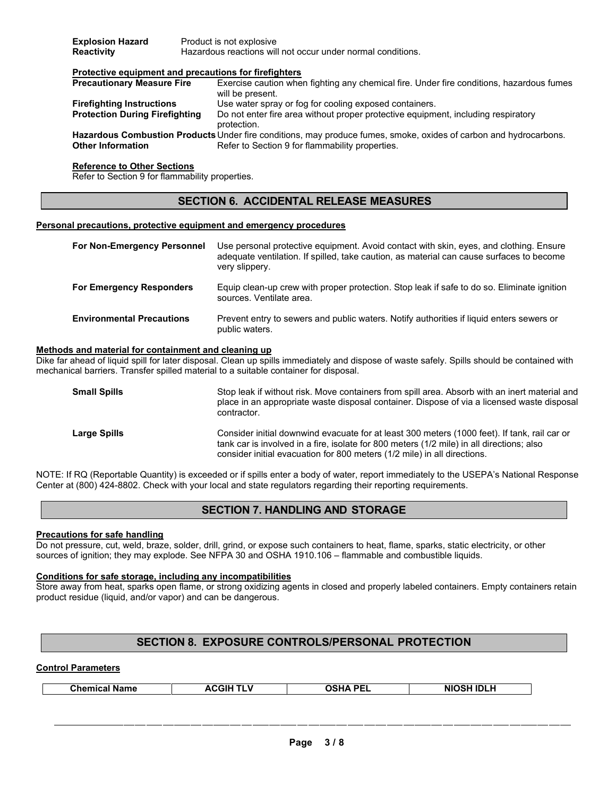| <b>Explosion Hazard</b> | Product is not explosive                                    |
|-------------------------|-------------------------------------------------------------|
| Reactivity              | Hazardous reactions will not occur under normal conditions. |

# **Protective equipment and precautions for firefighters**

| <b>Precautionary Measure Fire</b>     | Exercise caution when fighting any chemical fire. Under fire conditions, hazardous fumes                          |
|---------------------------------------|-------------------------------------------------------------------------------------------------------------------|
|                                       | will be present.                                                                                                  |
| <b>Firefighting Instructions</b>      | Use water spray or fog for cooling exposed containers.                                                            |
| <b>Protection During Firefighting</b> | Do not enter fire area without proper protective equipment, including respiratory                                 |
|                                       | protection.                                                                                                       |
|                                       | Hazardous Combustion Products Under fire conditions, may produce fumes, smoke, oxides of carbon and hydrocarbons. |
| <b>Other Information</b>              | Refer to Section 9 for flammability properties.                                                                   |

## **Reference to Other Sections**

Refer to Section 9 for flammability properties.

# **SECTION 6. ACCIDENTAL RELEASE MEASURES**

#### **Personal precautions, protective equipment and emergency procedures**

| For Non-Emergency Personnel      | Use personal protective equipment. Avoid contact with skin, eyes, and clothing. Ensure<br>adequate ventilation. If spilled, take caution, as material can cause surfaces to become<br>very slippery. |
|----------------------------------|------------------------------------------------------------------------------------------------------------------------------------------------------------------------------------------------------|
| <b>For Emergency Responders</b>  | Equip clean-up crew with proper protection. Stop leak if safe to do so. Eliminate ignition<br>sources. Ventilate area.                                                                               |
| <b>Environmental Precautions</b> | Prevent entry to sewers and public waters. Notify authorities if liquid enters sewers or<br>public waters.                                                                                           |

#### **Methods and material for containment and cleaning up**

Dike far ahead of liquid spill for later disposal. Clean up spills immediately and dispose of waste safely. Spills should be contained with mechanical barriers. Transfer spilled material to a suitable container for disposal.

| <b>Small Spills</b> | Stop leak if without risk. Move containers from spill area. Absorb with an inert material and<br>place in an appropriate waste disposal container. Dispose of via a licensed waste disposal<br>contractor.                                                            |
|---------------------|-----------------------------------------------------------------------------------------------------------------------------------------------------------------------------------------------------------------------------------------------------------------------|
| <b>Large Spills</b> | Consider initial downwind evacuate for at least 300 meters (1000 feet). If tank, rail car or<br>tank car is involved in a fire, isolate for 800 meters (1/2 mile) in all directions; also<br>consider initial evacuation for 800 meters (1/2 mile) in all directions. |

NOTE: If RQ (Reportable Quantity) is exceeded or if spills enter a body of water, report immediately to the USEPA's National Response Center at (800) 424-8802. Check with your local and state regulators regarding their reporting requirements.

# **SECTION 7. HANDLING AND STORAGE**

#### **Precautions for safe handling**

Do not pressure, cut, weld, braze, solder, drill, grind, or expose such containers to heat, flame, sparks, static electricity, or other sources of ignition; they may explode. See NFPA 30 and OSHA 1910.106 – flammable and combustible liquids.

#### **Conditions for safe storage, including any incompatibilities**

Store away from heat, sparks open flame, or strong oxidizing agents in closed and properly labeled containers. Empty containers retain product residue (liquid, and/or vapor) and can be dangerous.

# **SECTION 8. EXPOSURE CONTROLS/PERSONAL PROTECTION**

# **Control Parameters**

| <b>Chemical Name</b><br>. .<br>______ | . DCI<br>--- | <b>NIOSH IDLH</b> |
|---------------------------------------|--------------|-------------------|
|---------------------------------------|--------------|-------------------|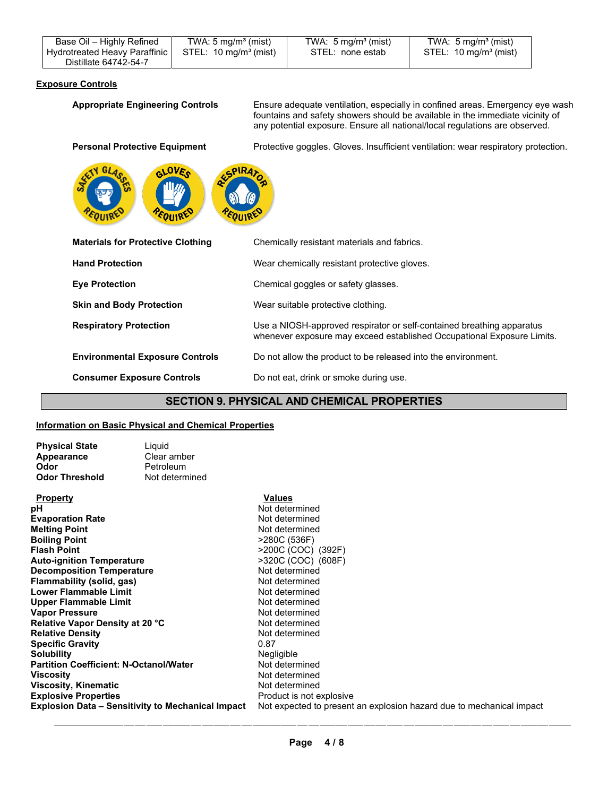| Base Oil - Highly Refined     | TWA: $5 \text{ mg/m}^3$ (mist) | TWA: $5 \text{ mg/m}^3$ (mist) | TWA: $5 \text{ mg/m}^3$ (mist) |
|-------------------------------|--------------------------------|--------------------------------|--------------------------------|
| Hydrotreated Heavy Paraffinic | $STEL: 10 mg/m3$ (mist)        | STEL: none estab               | $STEL: 10 mg/m3$ (mist)        |
| Distillate 64742-54-7         |                                |                                |                                |

# **Exposure Controls**

Appropriate Engineering Controls Ensure adequate ventilation, especially in confined areas. Emergency eye wash fountains and safety showers should be available in the immediate vicinity of any potential exposure. Ensure all national/local regulations are observed.

Personal Protective Equipment **Protective goggles.** Gloves. Insufficient ventilation: wear respiratory protection.



| <b>Materials for Protective Clothing</b> | Chemically resistant materials and fabrics.                                                                                                     |
|------------------------------------------|-------------------------------------------------------------------------------------------------------------------------------------------------|
| <b>Hand Protection</b>                   | Wear chemically resistant protective gloves.                                                                                                    |
| <b>Eye Protection</b>                    | Chemical goggles or safety glasses.                                                                                                             |
| <b>Skin and Body Protection</b>          | Wear suitable protective clothing.                                                                                                              |
| <b>Respiratory Protection</b>            | Use a NIOSH-approved respirator or self-contained breathing apparatus<br>whenever exposure may exceed established Occupational Exposure Limits. |
| <b>Environmental Exposure Controls</b>   | Do not allow the product to be released into the environment.                                                                                   |
| <b>Consumer Exposure Controls</b>        | Do not eat, drink or smoke during use.                                                                                                          |

# **SECTION 9. PHYSICAL AND CHEMICAL PROPERTIES**

# **Information on Basic Physical and Chemical Properties**

| <b>Physical State</b> | Liquid |
|-----------------------|--------|
| Appearance            | Clear  |
| Odor                  | Petrol |
| <b>Odor Threshold</b> | Not de |

**r** amber **Deum** determined

| <b>Property</b>                                   | Values                                                               |
|---------------------------------------------------|----------------------------------------------------------------------|
| pН                                                | Not determined                                                       |
| <b>Evaporation Rate</b>                           | Not determined                                                       |
| <b>Melting Point</b>                              | Not determined                                                       |
| <b>Boiling Point</b>                              | >280C (536F)                                                         |
| Flash Point                                       | >200C (COC) (392F)                                                   |
| Auto-ignition Temperature                         | >320C (COC) (608F)                                                   |
| Decomposition Temperature                         | Not determined                                                       |
| Flammability (solid, gas)                         | Not determined                                                       |
| Lower Flammable Limit                             | Not determined                                                       |
| Upper Flammable Limit                             | Not determined                                                       |
| Vapor Pressure                                    | Not determined                                                       |
| Relative Vapor Density at 20 °C                   | Not determined                                                       |
| <b>Relative Density</b>                           | Not determined                                                       |
| Specific Gravity                                  | 0.87                                                                 |
| Solubilitv                                        | Negligible                                                           |
| Partition Coefficient: N-Octanol/Water            | Not determined                                                       |
| Viscosity                                         | Not determined                                                       |
| Viscosity, Kinematic                              | Not determined                                                       |
| <b>Explosive Properties</b>                       | Product is not explosive                                             |
| Explosion Data – Sensitivity to Mechanical Impact | Not expected to present an explosion hazard due to mechanical impact |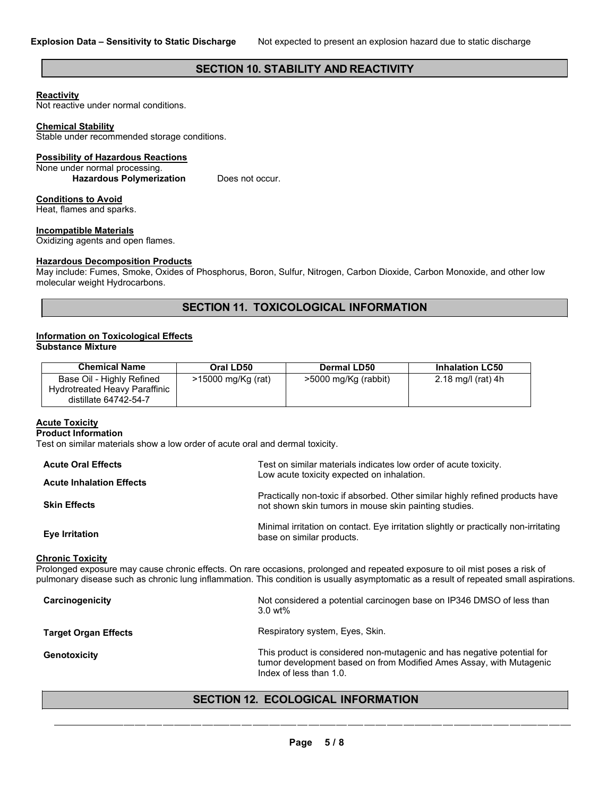# **SECTION 10. STABILITY AND REACTIVITY**

## **Reactivity**

Not reactive under normal conditions.

#### **Chemical Stability**

Stable under recommended storage conditions.

# **Possibility of Hazardous Reactions**

None under normal processing. Hazardous Polymerization Does not occur.

# **Conditions to Avoid**

Heat, flames and sparks.

# **Incompatible Materials**

Oxidizing agents and open flames.

## **Hazardous Decomposition Products**

May include: Fumes, Smoke, Oxides of Phosphorus, Boron, Sulfur, Nitrogen, Carbon Dioxide, Carbon Monoxide, and other low molecular weight Hydrocarbons.

# **SECTION 11. TOXICOLOGICAL INFORMATION**

#### **Information on Toxicological Effects Substance Mixture**

| <b>Chemical Name</b>                                                                | Oral LD50          | Dermal LD50          | <b>Inhalation LC50</b> |
|-------------------------------------------------------------------------------------|--------------------|----------------------|------------------------|
| Base Oil - Highly Refined<br>Hydrotreated Heavy Paraffinic<br>distillate 64742-54-7 | >15000 mg/Kg (rat) | >5000 mg/Kg (rabbit) | 2.18 mg/l (rat) 4h     |

# **Acute Toxicity**

#### **Product Information**

Test on similar materials show a low order of acute oral and dermal toxicity.

| <b>Acute Oral Effects</b>       | Test on similar materials indicates low order of acute toxicity.                                                                       |
|---------------------------------|----------------------------------------------------------------------------------------------------------------------------------------|
| <b>Acute Inhalation Effects</b> | Low acute toxicity expected on inhalation.                                                                                             |
| <b>Skin Effects</b>             | Practically non-toxic if absorbed. Other similar highly refined products have<br>not shown skin tumors in mouse skin painting studies. |
| Eye Irritation                  | Minimal irritation on contact. Eye irritation slightly or practically non-irritating<br>base on similar products.                      |
| Chronic Tovicity                |                                                                                                                                        |

#### **Chronic Toxicity**

Prolonged exposure may cause chronic effects. On rare occasions, prolonged and repeated exposure to oil mist poses a risk of pulmonary disease such as chronic lung inflammation. This condition is usually asymptomatic as a result of repeated small aspirations.

| Carcinogenicity             | Not considered a potential carcinogen base on IP346 DMSO of less than<br>$3.0$ wt%                                                                                        |
|-----------------------------|---------------------------------------------------------------------------------------------------------------------------------------------------------------------------|
| <b>Target Organ Effects</b> | Respiratory system, Eyes, Skin.                                                                                                                                           |
| <b>Genotoxicity</b>         | This product is considered non-mutagenic and has negative potential for<br>tumor development based on from Modified Ames Assay, with Mutagenic<br>Index of less than 1.0. |

# **SECTION 12. ECOLOGICAL INFORMATION**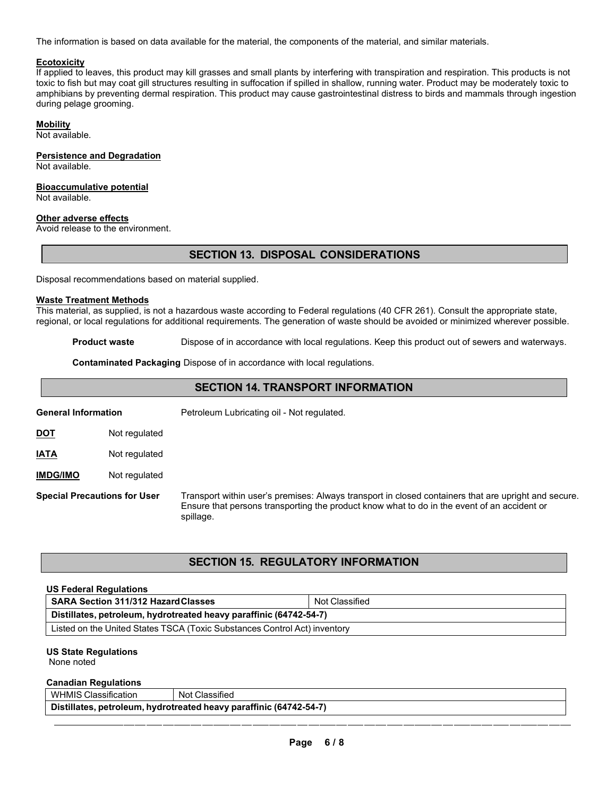The information is based on data available for the material, the components of the material, and similar materials.

# **Ecotoxicity**

If applied to leaves, this product may kill grasses and small plants by interfering with transpiration and respiration. This products is not toxic to fish but may coat gill structures resulting in suffocation if spilled in shallow, running water. Product may be moderately toxic to amphibians by preventing dermal respiration. This product may cause gastrointestinal distress to birds and mammals through ingestion during pelage grooming.

# **Mobility**

Not available.

# **Persistence and Degradation**

Not available.

# **Bioaccumulative potential**

Not available.

## **Other adverse effects**

Avoid release to the environment.

# **SECTION 13. DISPOSAL CONSIDERATIONS**

Disposal recommendations based on material supplied.

#### **Waste Treatment Methods**

This material, as supplied, is not a hazardous waste according to Federal regulations (40 CFR 261). Consult the appropriate state, regional, or local regulations for additional requirements. The generation of waste should be avoided or minimized wherever possible.

**Product waste** Dispose of in accordance with local regulations. Keep this product out of sewers and waterways.

**Contaminated Packaging** Dispose of in accordance with local regulations.

| <b>SECTION 14. TRANSPORT INFORMATION</b> |                                     |                                                                                                                                                                                                                  |
|------------------------------------------|-------------------------------------|------------------------------------------------------------------------------------------------------------------------------------------------------------------------------------------------------------------|
| <b>General Information</b>               |                                     | Petroleum Lubricating oil - Not regulated.                                                                                                                                                                       |
| <u>DOT</u>                               | Not regulated                       |                                                                                                                                                                                                                  |
| <b>IATA</b>                              | Not regulated                       |                                                                                                                                                                                                                  |
| <b>IMDG/IMO</b>                          | Not regulated                       |                                                                                                                                                                                                                  |
|                                          | <b>Special Precautions for User</b> | Transport within user's premises: Always transport in closed containers that are upright and secure.<br>Ensure that persons transporting the product know what to do in the event of an accident or<br>spillage. |

# **SECTION 15. REGULATORY INFORMATION**

| <b>US Federal Regulations</b>                                             |                |  |
|---------------------------------------------------------------------------|----------------|--|
| <b>SARA Section 311/312 Hazard Classes</b>                                | Not Classified |  |
| Distillates, petroleum, hydrotreated heavy paraffinic (64742-54-7)        |                |  |
| Listed on the United States TSCA (Toxic Substances Control Act) inventory |                |  |

# **US State Regulations**

None noted

# **Canadian Regulations**

WHMIS Classification | Not Classified **Distillates, petroleum, hydrotreated heavy paraffinic (64742-54-7)**